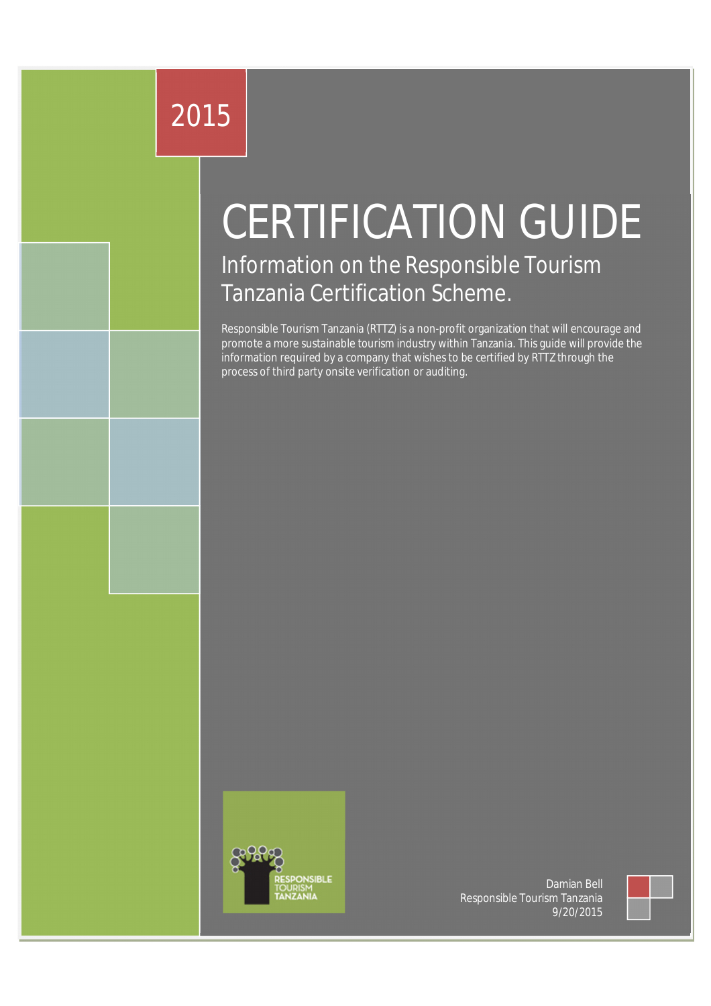# 2015

# CERTIFICATION GUIDE

Information on the Responsible Tourism Tanzania Certification Scheme.

Responsible Tourism Tanzania (RTTZ) is a non-profit organization that will encourage and promote a more sustainable tourism industry within Tanzania. This guide will provide the information required by a company that wishes to be certified by RTTZ through the process of third party onsite verification or auditing.



Damian Bell Responsible Tourism Tanzania 9/20/2015

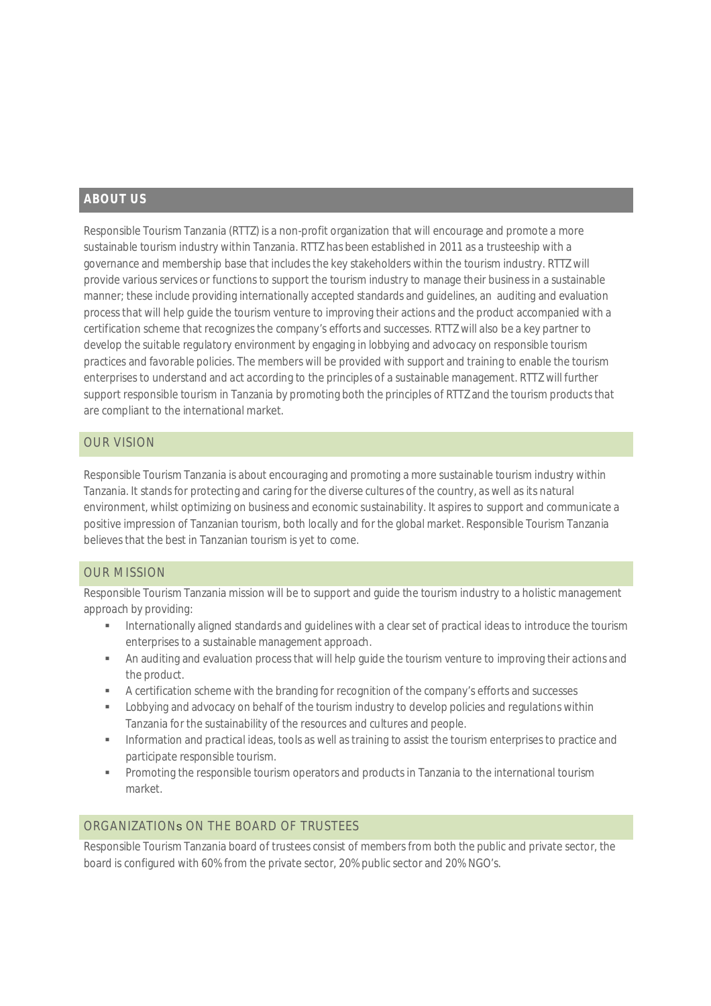#### **ABOUT US**

Responsible Tourism Tanzania (RTTZ) is a non-profit organization that will encourage and promote a more sustainable tourism industry within Tanzania. RTTZ has been established in 2011 as a trusteeship with a governance and membership base that includes the key stakeholders within the tourism industry. RTTZ will provide various services or functions to support the tourism industry to manage their business in a sustainable manner; these include providing internationally accepted standards and guidelines, an auditing and evaluation process that will help guide the tourism venture to improving their actions and the product accompanied with a certification scheme that recognizes the company's efforts and successes. RTTZ will also be a key partner to develop the suitable regulatory environment by engaging in lobbying and advocacy on responsible tourism practices and favorable policies. The members will be provided with support and training to enable the tourism enterprises to understand and act according to the principles of a sustainable management. RTTZ will further support responsible tourism in Tanzania by promoting both the principles of RTTZ and the tourism products that are compliant to the international market.

#### OUR VISION

Responsible Tourism Tanzania is about encouraging and promoting a more sustainable tourism industry within Tanzania. It stands for protecting and caring for the diverse cultures of the country, as well as its natural environment, whilst optimizing on business and economic sustainability. It aspires to support and communicate a positive impression of Tanzanian tourism, both locally and for the global market. Responsible Tourism Tanzania believes that the best in Tanzanian tourism is yet to come.

#### OUR MISSION

Responsible Tourism Tanzania mission will be to support and guide the tourism industry to a holistic management approach by providing:

- Internationally aligned standards and guidelines with a clear set of practical ideas to introduce the tourism enterprises to a sustainable management approach.
- An auditing and evaluation process that will help guide the tourism venture to improving their actions and the product.
- A certification scheme with the branding for recognition of the company's efforts and successes
- Lobbying and advocacy on behalf of the tourism industry to develop policies and regulations within Tanzania for the sustainability of the resources and cultures and people.
- Information and practical ideas, tools as well as training to assist the tourism enterprises to practice and participate responsible tourism.
- **•** Promoting the responsible tourism operators and products in Tanzania to the international tourism market.

#### ORGANIZATIONs ON THE BOARD OF TRUSTEES

Responsible Tourism Tanzania board of trustees consist of members from both the public and private sector, the board is configured with 60% from the private sector, 20% public sector and 20% NGO's.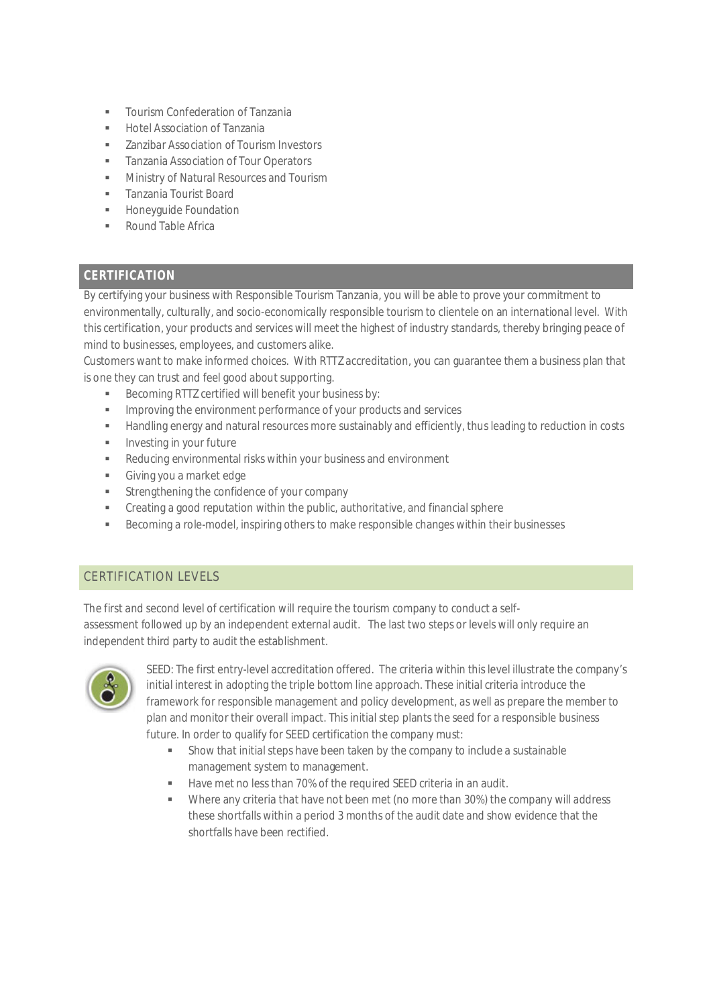- Tourism Confederation of Tanzania
- Hotel Association of Tanzania
- **EXECUTE:** 7 anzibar Association of Tourism Investors
- Tanzania Association of Tour Operators
- **Ministry of Natural Resources and Tourism**
- **Tanzania Tourist Board**
- **Honeyquide Foundation**
- Round Table Africa

## **CERTIFICATION**

By certifying your business with Responsible Tourism Tanzania, you will be able to prove your commitment to environmentally, culturally, and socio-economically responsible tourism to clientele on an international level. With this certification, your products and services will meet the highest of industry standards, thereby bringing peace of mind to businesses, employees, and customers alike.

Customers want to make informed choices. With RTTZ accreditation, you can guarantee them a business plan that is one they can trust and feel good about supporting.

- Becoming RTTZ certified will benefit your business by:
- **IMPROVING THE ENVIRONMENT PERIODE CONTROVING THE UPPER** IMPROVING **IN**
- Handling energy and natural resources more sustainably and efficiently, thus leading to reduction in costs
- **Investing in your future**
- Reducing environmental risks within your business and environment
- Giving you a market edge
- **Strengthening the confidence of your company**
- Creating a good reputation within the public, authoritative, and financial sphere
- Becoming a role-model, inspiring others to make responsible changes within their businesses

### CERTIFICATION LEVELS

The first and second level of certification will require the tourism company to conduct a selfassessment followed up by an independent external audit. The last two steps or levels will only require an independent third party to audit the establishment.



SEED: The first entry-level accreditation offered. The criteria within this level illustrate the company's initial interest in adopting the triple bottom line approach. These initial criteria introduce the framework for responsible management and policy development, as well as prepare the member to plan and monitor their overall impact. This initial step plants the seed for a responsible business future. In order to qualify for SEED certification the company must:

- Show that initialsteps have been taken by the company to include a sustainable management system to management.
- Have met no less than 70% of the required SEED criteria in an audit.
- Where any criteria that have not been met (no more than 30%) the company will address these shortfalls within a period 3 months of the audit date and show evidence that the shortfalls have been rectified.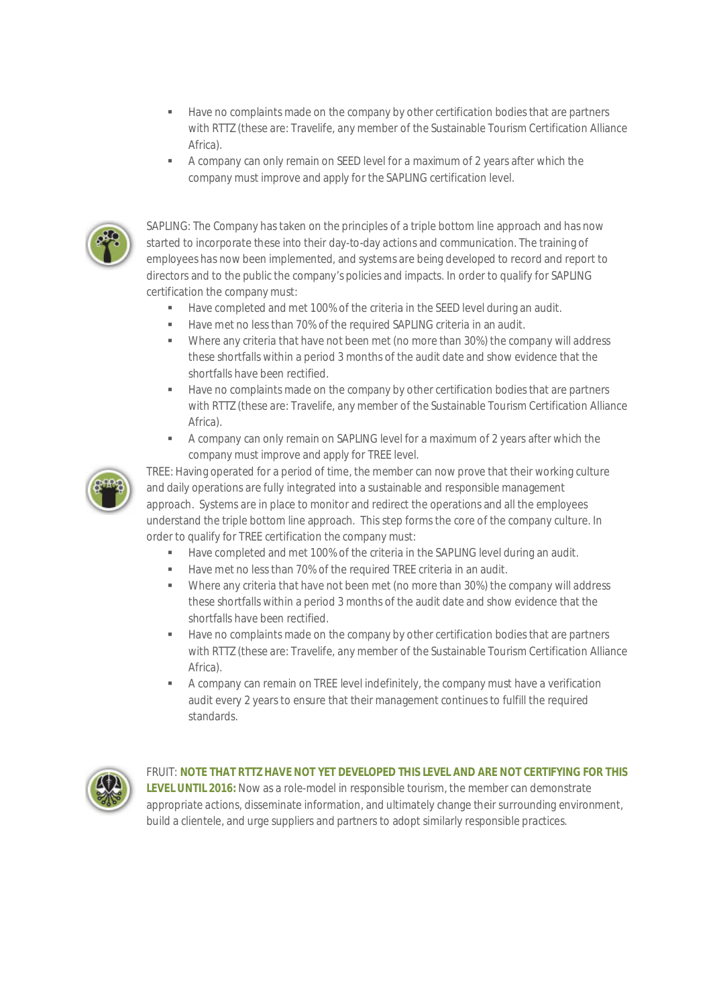- Have no complaints made on the company by other certification bodies that are partners with RTTZ (these are: Travelife, any member of the Sustainable Tourism Certification Alliance Africa).
- A company can only remain on SEED level for a maximum of 2 years after which the company must improve and apply for the SAPLING certification level.



SAPLING: The Company has taken on the principles of a triple bottom line approach and has now started to incorporate these into their day-to-day actions and communication. The training of employees has now been implemented, and systems are being developed to record and report to directors and to the public the company's policies and impacts. In order to qualify for SAPLING certification the company must:

- Have completed and met 100% of the criteria in the SEED level during an audit.
- Have met no less than 70% of the required SAPLING criteria in an audit.
- Where any criteria that have not been met (no more than 30%) the company will address these shortfalls within a period 3 months of the audit date and show evidence that the shortfalls have been rectified.
- Have no complaints made on the company by other certification bodies that are partners with RTTZ (these are: Travelife, any member of the Sustainable Tourism Certification Alliance Africa).
- A company can only remain on SAPLING level for a maximum of 2 years after which the company must improve and apply for TREE level.



TREE: Having operated for a period of time, the member can now prove that their working culture and daily operations are fully integrated into a sustainable and responsible management approach. Systems are in place to monitor and redirect the operations and all the employees understand the triple bottom line approach. This step forms the core of the company culture. In order to qualify for TREE certification the company must:

- Have completed and met 100% of the criteria in the SAPLING level during an audit.
- Have met no less than 70% of the required TREE criteria in an audit.
- Where any criteria that have not been met (no more than 30%) the company will address these shortfalls within a period 3 months of the audit date and show evidence that the shortfalls have been rectified.
- **Have no complaints made on the company by other certification bodies that are partners** with RTTZ (these are: Travelife, any member of the Sustainable Tourism Certification Alliance Africa).
- A company can remain on TREE level indefinitely, the company must have a verification audit every 2 years to ensure that their management continues to fulfill the required standards.



FRUIT: **NOTE THAT RTTZ HAVE NOT YET DEVELOPED THIS LEVEL AND ARE NOT CERTIFYING FOR THIS LEVEL UNTIL 2016:** Now as a role-model in responsible tourism, the member can demonstrate appropriate actions, disseminate information, and ultimately change theirsurrounding environment, build a clientele, and urge suppliers and partners to adopt similarly responsible practices.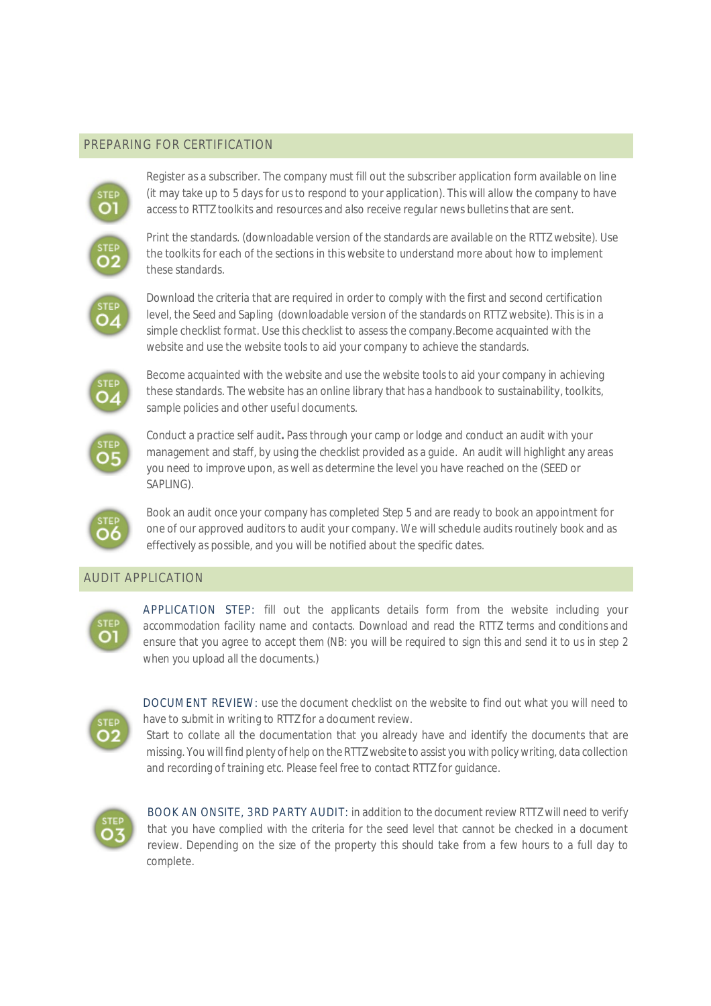#### PREPARING FOR CERTIFICATION



Register as a subscriber. The company must fill out the subscriber application form available on line (it may take up to 5 days for us to respond to your application). This will allow the company to have access to RTTZ toolkits and resources and also receive regular news bulletins that are sent.



Print the standards. (downloadable version of the standards are available on the RTTZ website). Use the toolkits for each of the sections in this website to understand more about how to implement these standards.

$$
\overset{\text{step}}{\text{O4}}
$$

Download the criteria that are required in order to comply with the first and second certification level, the Seed and Sapling (downloadable version of the standards on RTTZ website). This is in a simple checklist format. Use this checklist to assess the company.Become acquainted with the website and use the website tools to aid your company to achieve the standards.



Become acquainted with the website and use the website tools to aid your company in achieving these standards. The website has an online library that has a handbook to sustainability, toolkits, sample policies and other useful documents.



Conduct a practice self audit**.** Pass through your camp or lodge and conduct an audit with your management and staff, by using the checklist provided as a guide. An audit will highlight any areas you need to improve upon, as well as determine the level you have reached on the (SEED or SAPLING).



Book an audit once your company has completed Step 5 and are ready to book an appointment for one of our approved auditors to audit your company. We will schedule audits routinely book and as effectively as possible, and you will be notified about the specific dates.

#### AUDIT APPLICATION



APPLICATION STEP: fill out the applicants details form from the website including your accommodation facility name and contacts. Download and read the RTTZ terms and conditions and ensure that you agree to accept them (NB: you will be required to sign this and send it to us in step 2 when you upload all the documents.)



DOCUMENT REVIEW: use the document checklist on the website to find out what you will need to have to submit in writing to RTTZ for a document review.

Start to collate all the documentation that you already have and identify the documents that are missing. You will find plenty of help on the RTTZ website to assist you with policy writing, data collection and recording of training etc. Please feel free to contact RTTZ for guidance.



BOOK AN ONSITE, 3RD PARTY AUDIT: in addition to the document review RTTZ will need to verify that you have complied with the criteria for the seed level that cannot be checked in a document review. Depending on the size of the property this should take from a few hours to a full day to complete.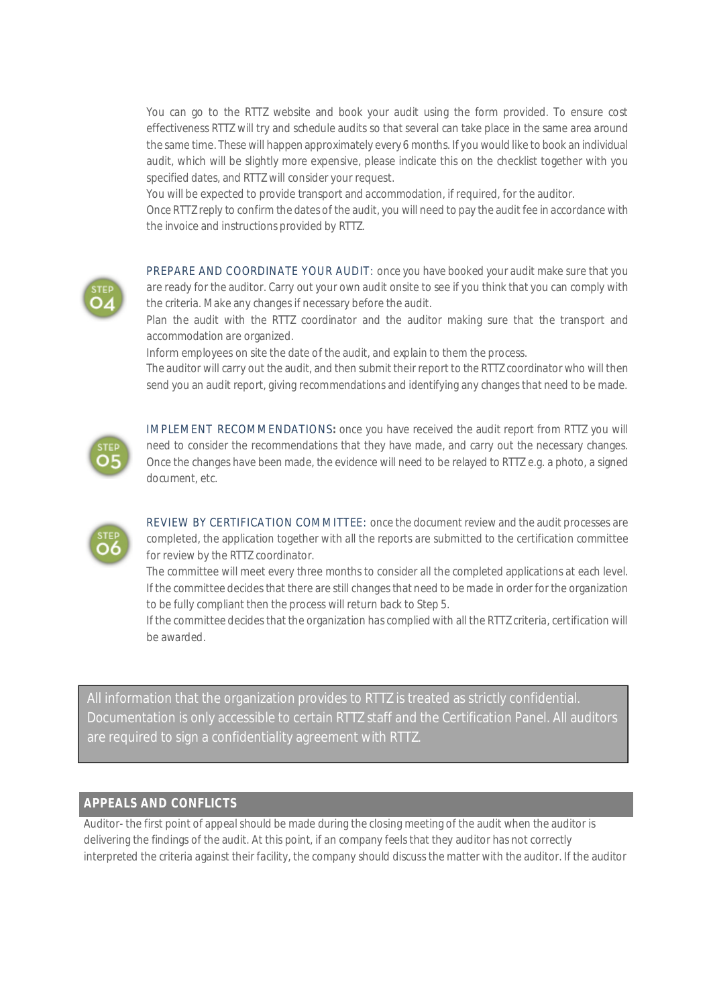You can go to the RTTZ website and book your audit using the form provided. To ensure cost effectiveness RTTZ will try and schedule audits so that several can take place in the same area around the same time. These will happen approximately every 6 months. If you would like to book an individual audit, which will be slightly more expensive, please indicate this on the checklist together with you specified dates, and RTTZ will consider your request.

You will be expected to provide transport and accommodation, if required, for the auditor.

Once RTTZ reply to confirm the dates of the audit, you will need to pay the audit fee in accordance with the invoice and instructions provided by RTTZ.



PREPARE AND COORDINATE YOUR AUDIT: once you have booked your audit make sure that you are ready for the auditor. Carry out your own audit onsite to see if you think that you can comply with the criteria. Make any changes if necessary before the audit.

Plan the audit with the RTTZ coordinator and the auditor making sure that the transport and accommodation are organized.

Inform employees on site the date of the audit, and explain to them the process.

The auditor will carry out the audit, and then submit their report to the RTTZ coordinator who will then send you an audit report, giving recommendations and identifying any changes that need to be made.



IMPLEMENT RECOMMENDATIONS**:** once you have received the audit report from RTTZ you will need to consider the recommendations that they have made, and carry out the necessary changes. Once the changes have been made, the evidence will need to be relayed to RTTZ e.g. a photo, a signed document, etc.



REVIEW BY CERTIFICATION COMMITTEE: once the document review and the audit processes are completed, the application together with all the reports are submitted to the certification committee for review by the RTTZ coordinator.

The committee will meet every three months to consider all the completed applications at each level. If the committee decides that there are still changes that need to be made in orderforthe organization to be fully compliant then the process will return back to Step 5.

If the committee decides that the organization has complied with all the RTTZ criteria, certification will be awarded.

All information that the organization provides to RTTZ is treated as strictly confidential. Documentation is only accessible to certain RTTZ staff and the Certification Panel. All auditors are required to sign a confidentiality agreement with RTTZ.

#### **APPEALS AND CONFLICTS**

Auditor- the first point of appeal should be made during the closing meeting of the audit when the auditor is delivering the findings of the audit. At this point, if an company feels that they auditor has not correctly interpreted the criteria against their facility, the company should discuss the matter with the auditor. If the auditor